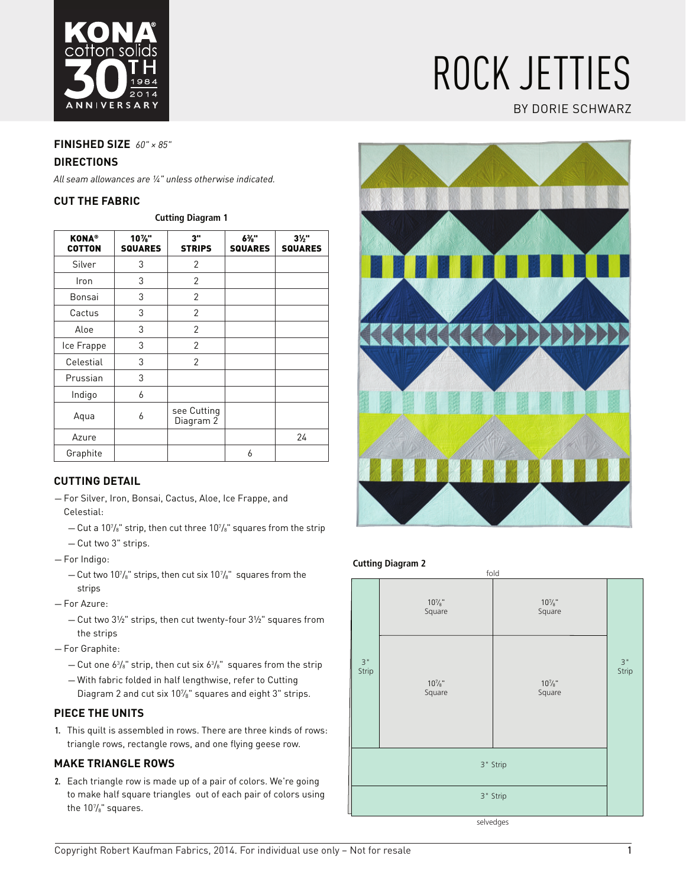

# rock jetties

# by dorie schwarz

# **Finished size** *60" × 85"*

#### **Directions**

*All seam allowances are ¼" unless otherwise indicated.*

#### **Cut the fabric**

| <b>KONA®</b><br><b>COTTON</b> | $10\%$ "<br><b>SQUARES</b> | 3"<br><b>STRIPS</b>      | 6%"<br><b>SQUARES</b> | $3\frac{1}{2}$<br><b>SQUARES</b> |
|-------------------------------|----------------------------|--------------------------|-----------------------|----------------------------------|
| Silver                        | 3                          | $\overline{2}$           |                       |                                  |
| Iron                          | 3                          | $\overline{2}$           |                       |                                  |
| Bonsai                        | 3                          | $\overline{2}$           |                       |                                  |
| Cactus                        | 3                          | $\overline{2}$           |                       |                                  |
| Aloe                          | 3                          | $\overline{2}$           |                       |                                  |
| Ice Frappe                    | 3                          | $\overline{2}$           |                       |                                  |
| Celestial                     | 3                          | $\overline{2}$           |                       |                                  |
| Prussian                      | 3                          |                          |                       |                                  |
| Indigo                        | 6                          |                          |                       |                                  |
| Aqua                          | 6                          | see Cutting<br>Diagram 2 |                       |                                  |
| Azure                         |                            |                          |                       | 24                               |
| Graphite                      |                            |                          | 6                     |                                  |

# **CutTING DETAIL**

- For Silver, Iron, Bonsai, Cactus, Aloe, Ice Frappe, and Celestial:
	- $-$  Cut a 10 $\%$ " strip, then cut three 10 $\%$ " squares from the strip
	- Cut two 3" strips.
- For Indigo:
	- $-$  Cut two 10 $\frac{7}{8}$ " strips, then cut six 10 $\frac{7}{8}$ " squares from the strips
- For Azure:
	- Cut two 3½" strips, then cut twenty-four 3½" squares from the strips
- For Graphite:
	- $-$  Cut one 6 $^3\!/_{\rm s}$ " strip, then cut six 6 $^3\!/_{\rm s}$ " squares from the strip
	- With fabric folded in half lengthwise, refer to Cutting Diagram 2 and cut six 10%" squares and eight 3" strips.

# **PIECE THE UNITS**

**1.** This quilt is assembled in rows. There are three kinds of rows: triangle rows, rectangle rows, and one flying geese row.

#### **Make triangle rows**

**2.** Each triangle row is made up of a pair of colors. We're going to make half square triangles out of each pair of colors using the 107 /8" squares.



#### **Cutting Diagram 2**



selvedges